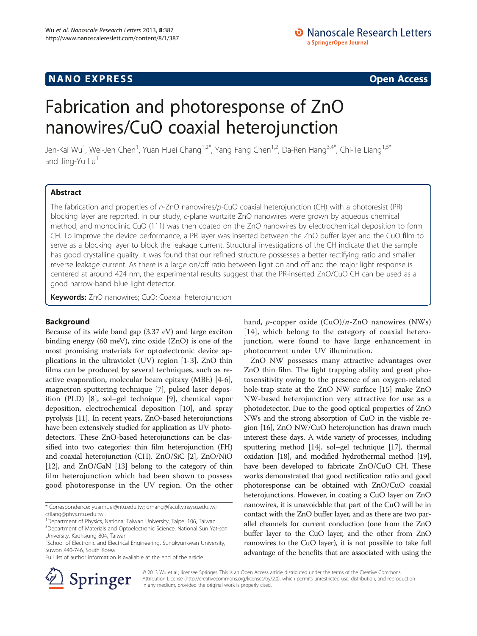## **NANO EXPRESS** CONSTRUCTION CONTINUES AND ACCESS COPEN ACCESS COPEN ACCESS COPEN ACCESS COPEN ACCESS COPEN ACCESS

# Fabrication and photoresponse of ZnO nanowires/CuO coaxial heterojunction

Jen-Kai Wu<sup>1</sup>, Wei-Jen Chen<sup>1</sup>, Yuan Huei Chang<sup>1,2\*</sup>, Yang Fang Chen<sup>1,2</sup>, Da-Ren Hang<sup>3,4\*</sup>, Chi-Te Liang<sup>1,5\*</sup> and Jing-Yu Lu<sup>1</sup>

## Abstract

The fabrication and properties of n-ZnO nanowires/p-CuO coaxial heterojunction (CH) with a photoresist (PR) blocking layer are reported. In our study, c-plane wurtzite ZnO nanowires were grown by aqueous chemical method, and monoclinic CuO (111) was then coated on the ZnO nanowires by electrochemical deposition to form CH. To improve the device performance, a PR layer was inserted between the ZnO buffer layer and the CuO film to serve as a blocking layer to block the leakage current. Structural investigations of the CH indicate that the sample has good crystalline quality. It was found that our refined structure possesses a better rectifying ratio and smaller reverse leakage current. As there is a large on/off ratio between light on and off and the major light response is centered at around 424 nm, the experimental results suggest that the PR-inserted ZnO/CuO CH can be used as a good narrow-band blue light detector.

Keywords: ZnO nanowires; CuO; Coaxial heterojunction

## Background

Because of its wide band gap (3.37 eV) and large exciton binding energy (60 meV), zinc oxide (ZnO) is one of the most promising materials for optoelectronic device applications in the ultraviolet (UV) region [\[1-3](#page-4-0)]. ZnO thin films can be produced by several techniques, such as reactive evaporation, molecular beam epitaxy (MBE) [[4-6](#page-4-0)], magnetron sputtering technique [[7\]](#page-4-0), pulsed laser deposition (PLD) [\[8](#page-4-0)], sol–gel technique [\[9](#page-4-0)], chemical vapor deposition, electrochemical deposition [[10\]](#page-4-0), and spray pyrolysis [\[11\]](#page-4-0). In recent years, ZnO-based heterojunctions have been extensively studied for application as UV photodetectors. These ZnO-based heterojunctions can be classified into two categories: thin film heterojunction (FH) and coaxial heterojunction (CH). ZnO/SiC [\[2](#page-4-0)], ZnO/NiO [[12](#page-4-0)], and ZnO/GaN [[13](#page-4-0)] belong to the category of thin film heterojunction which had been shown to possess good photoresponse in the UV region. On the other

\* Correspondence: [yuanhuei@ntu.edu.tw](mailto:yuanhuei@ntu.edu.tw); [drhang@faculty.nsysu.edu.tw](mailto:drhang@faculty.nsysu.edu.tw); [ctliang@phys.ntu.edu.tw](mailto:ctliang@phys.ntu.edu.tw)

Full list of author information is available at the end of the article



ZnO NW possesses many attractive advantages over ZnO thin film. The light trapping ability and great photosensitivity owing to the presence of an oxygen-related hole-trap state at the ZnO NW surface [[15\]](#page-4-0) make ZnO NW-based heterojunction very attractive for use as a photodetector. Due to the good optical properties of ZnO NWs and the strong absorption of CuO in the visible region [\[16\]](#page-4-0), ZnO NW/CuO heterojunction has drawn much interest these days. A wide variety of processes, including sputtering method [\[14\]](#page-4-0), sol–gel technique [\[17\]](#page-4-0), thermal oxidation [\[18\]](#page-4-0), and modified hydrothermal method [\[19](#page-4-0)], have been developed to fabricate ZnO/CuO CH. These works demonstrated that good rectification ratio and good photoresponse can be obtained with ZnO/CuO coaxial heterojunctions. However, in coating a CuO layer on ZnO nanowires, it is unavoidable that part of the CuO will be in contact with the ZnO buffer layer, and as there are two parallel channels for current conduction (one from the ZnO buffer layer to the CuO layer, and the other from ZnO nanowires to the CuO layer), it is not possible to take full advantage of the benefits that are associated with using the



© 2013 Wu et al.; licensee Springer. This is an Open Access article distributed under the terms of the Creative Commons Attribution License [\(http://creativecommons.org/licenses/by/2.0\)](http://creativecommons.org/licenses/by/2.0), which permits unrestricted use, distribution, and reproduction in any medium, provided the original work is properly cited.

<sup>&</sup>lt;sup>1</sup>Department of Physics, National Taiwan University, Taipei 106, Taiwan <sup>3</sup>Department of Materials and Optoelectronic Science, National Sun Yat-sen University, Kaohsiung 804, Taiwan

<sup>&</sup>lt;sup>5</sup>School of Electronic and Electrical Engineering, Sungkyunkwan University, Suwon 440-746, South Korea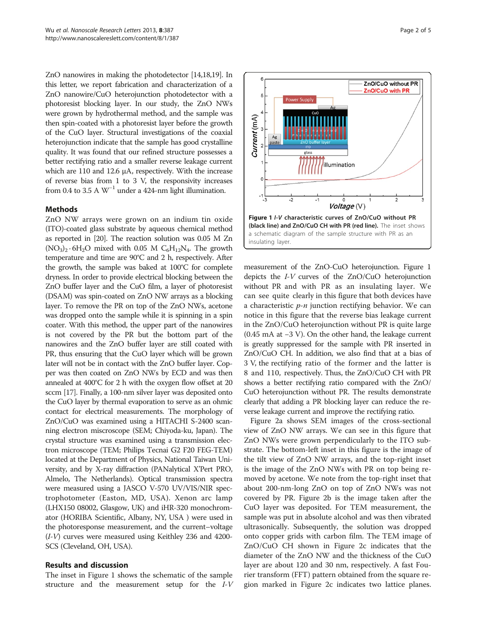<span id="page-1-0"></span>ZnO nanowires in making the photodetector [[14,18,19\]](#page-4-0). In this letter, we report fabrication and characterization of a ZnO nanowire/CuO heterojunction photodetector with a photoresist blocking layer. In our study, the ZnO NWs were grown by hydrothermal method, and the sample was then spin-coated with a photoresist layer before the growth of the CuO layer. Structural investigations of the coaxial heterojunction indicate that the sample has good crystalline quality. It was found that our refined structure possesses a better rectifying ratio and a smaller reverse leakage current which are 110 and 12.6 μA, respectively. With the increase of reverse bias from 1 to 3 V, the responsivity increases from 0.4 to 3.5 A  $W^{-1}$  under a 424-nm light illumination.

## Methods

ZnO NW arrays were grown on an indium tin oxide (ITO)-coated glass substrate by aqueous chemical method as reported in [\[20](#page-4-0)]. The reaction solution was 0.05 M Zn  $(NO<sub>3</sub>)<sub>2</sub> \cdot 6H<sub>2</sub>O$  mixed with 0.05 M  $C<sub>6</sub>H<sub>12</sub>N<sub>4</sub>$ . The growth temperature and time are 90°C and 2 h, respectively. After the growth, the sample was baked at 100°C for complete dryness. In order to provide electrical blocking between the ZnO buffer layer and the CuO film, a layer of photoresist (DSAM) was spin-coated on ZnO NW arrays as a blocking layer. To remove the PR on top of the ZnO NWs, acetone was dropped onto the sample while it is spinning in a spin coater. With this method, the upper part of the nanowires is not covered by the PR but the bottom part of the nanowires and the ZnO buffer layer are still coated with PR, thus ensuring that the CuO layer which will be grown later will not be in contact with the ZnO buffer layer. Copper was then coated on ZnO NWs by ECD and was then annealed at 400°C for 2 h with the oxygen flow offset at 20 sccm [\[17\]](#page-4-0). Finally, a 100-nm silver layer was deposited onto the CuO layer by thermal evaporation to serve as an ohmic contact for electrical measurements. The morphology of ZnO/CuO was examined using a HITACHI S-2400 scanning electron miscroscope (SEM; Chiyoda-ku, Japan). The crystal structure was examined using a transmission electron microscope (TEM; Philips Tecnai G2 F20 FEG-TEM) located at the Department of Physics, National Taiwan University, and by X-ray diffraction (PANalytical X'Pert PRO, Almelo, The Netherlands). Optical transmission spectra were measured using a JASCO V-570 UV/VIS/NIR spectrophotometer (Easton, MD, USA). Xenon arc lamp (LHX150 08002, Glasgow, UK) and iHR-320 monochromator (HORIBA Scientific, Albany, NY, USA ) were used in the photoresponse measurement, and the current–voltage (I-V) curves were measured using Keithley 236 and 4200- SCS (Cleveland, OH, USA).

#### Results and discussion

The inset in Figure 1 shows the schematic of the sample structure and the measurement setup for the I-V



5

measurement of the ZnO-CuO heterojunction. Figure 1 depicts the I-V curves of the ZnO/CuO heterojunction without PR and with PR as an insulating layer. We can see quite clearly in this figure that both devices have a characteristic  $p$ -n junction rectifying behavior. We can notice in this figure that the reverse bias leakage current in the ZnO/CuO heterojunction without PR is quite large (0.45 mA at −3 V). On the other hand, the leakage current is greatly suppressed for the sample with PR inserted in ZnO/CuO CH. In addition, we also find that at a bias of 3 V, the rectifying ratio of the former and the latter is 8 and 110, respectively. Thus, the ZnO/CuO CH with PR shows a better rectifying ratio compared with the ZnO/ CuO heterojunction without PR. The results demonstrate clearly that adding a PR blocking layer can reduce the reverse leakage current and improve the rectifying ratio.

Figure [2a](#page-2-0) shows SEM images of the cross-sectional view of ZnO NW arrays. We can see in this figure that ZnO NWs were grown perpendicularly to the ITO substrate. The bottom-left inset in this figure is the image of the tilt view of ZnO NW arrays, and the top-right inset is the image of the ZnO NWs with PR on top being removed by acetone. We note from the top-right inset that about 200-nm-long ZnO on top of ZnO NWs was not covered by PR. Figure [2b](#page-2-0) is the image taken after the CuO layer was deposited. For TEM measurement, the sample was put in absolute alcohol and was then vibrated ultrasonically. Subsequently, the solution was dropped onto copper grids with carbon film. The TEM image of ZnO/CuO CH shown in Figure [2](#page-2-0)c indicates that the diameter of the ZnO NW and the thickness of the CuO layer are about 120 and 30 nm, respectively. A fast Fourier transform (FFT) pattern obtained from the square region marked in Figure [2](#page-2-0)c indicates two lattice planes.

ZnO/CuO without PR ZnO/CuO with PR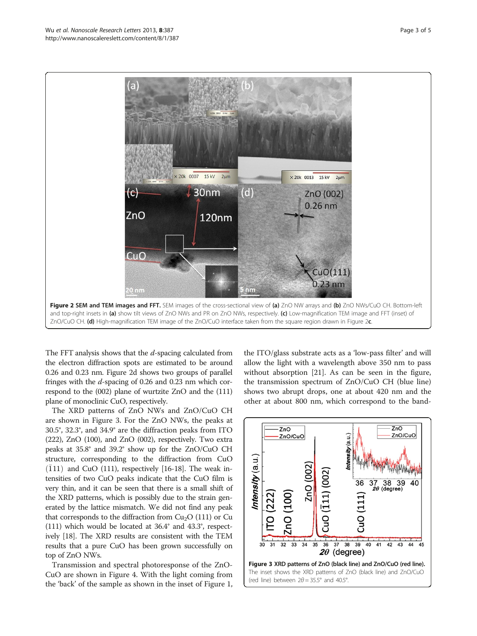<span id="page-2-0"></span>

The FFT analysis shows that the d-spacing calculated from the electron diffraction spots are estimated to be around 0.26 and 0.23 nm. Figure 2d shows two groups of parallel fringes with the d-spacing of 0.26 and 0.23 nm which correspond to the (002) plane of wurtzite ZnO and the (111) plane of monoclinic CuO, respectively.

The XRD patterns of ZnO NWs and ZnO/CuO CH are shown in Figure 3. For the ZnO NWs, the peaks at 30.5°, 32.3°, and 34.9° are the diffraction peaks from ITO (222), ZnO (100), and ZnO (002), respectively. Two extra peaks at 35.8° and 39.2° show up for the ZnO/CuO CH structure, corresponding to the diffraction from CuO  $(111)$  and CuO (111), respectively [[16](#page-4-0)-[18](#page-4-0)]. The weak intensities of two CuO peaks indicate that the CuO film is very thin, and it can be seen that there is a small shift of the XRD patterns, which is possibly due to the strain generated by the lattice mismatch. We did not find any peak that corresponds to the diffraction from  $Cu<sub>2</sub>O$  (111) or Cu (111) which would be located at 36.4° and 43.3°, respectively [\[18\]](#page-4-0). The XRD results are consistent with the TEM results that a pure CuO has been grown successfully on top of ZnO NWs.

Transmission and spectral photoresponse of the ZnO-CuO are shown in Figure [4.](#page-3-0) With the light coming from the 'back' of the sample as shown in the inset of Figure [1](#page-1-0),

the ITO/glass substrate acts as a 'low-pass filter' and will allow the light with a wavelength above 350 nm to pass without absorption [\[21\]](#page-4-0). As can be seen in the figure, the transmission spectrum of ZnO/CuO CH (blue line) shows two abrupt drops, one at about 420 nm and the other at about 800 nm, which correspond to the band-

![](_page_2_Figure_6.jpeg)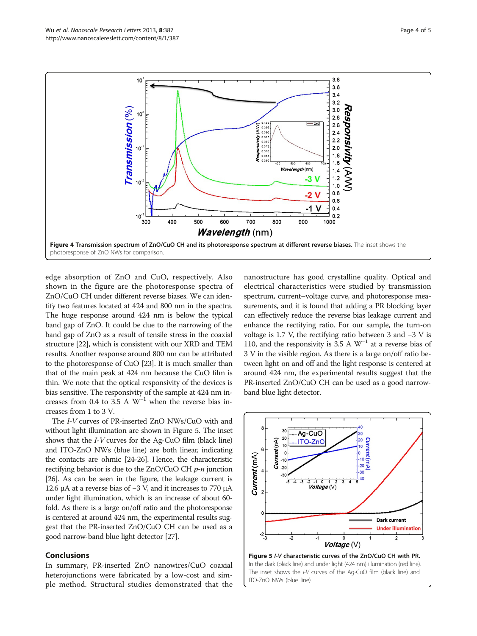<span id="page-3-0"></span>![](_page_3_Figure_2.jpeg)

edge absorption of ZnO and CuO, respectively. Also shown in the figure are the photoresponse spectra of ZnO/CuO CH under different reverse biases. We can identify two features located at 424 and 800 nm in the spectra. The huge response around 424 nm is below the typical band gap of ZnO. It could be due to the narrowing of the band gap of ZnO as a result of tensile stress in the coaxial structure [\[22\]](#page-4-0), which is consistent with our XRD and TEM results. Another response around 800 nm can be attributed to the photoresponse of CuO [[23](#page-4-0)]. It is much smaller than that of the main peak at 424 nm because the CuO film is thin. We note that the optical responsivity of the devices is bias sensitive. The responsivity of the sample at 424 nm increases from 0.4 to 3.5 A  $W^{-1}$  when the reverse bias increases from 1 to 3 V.

The I-V curves of PR-inserted ZnO NWs/CuO with and without light illumination are shown in Figure 5. The inset shows that the I-V curves for the Ag-CuO film (black line) and ITO-ZnO NWs (blue line) are both linear, indicating the contacts are ohmic [[24-26\]](#page-4-0). Hence, the characteristic rectifying behavior is due to the  $ZnO/CuOCH$  *p-n* junction [[26](#page-4-0)]. As can be seen in the figure, the leakage current is 12.6 μA at a reverse bias of −3 V, and it increases to 770 μA under light illumination, which is an increase of about 60 fold. As there is a large on/off ratio and the photoresponse is centered at around 424 nm, the experimental results suggest that the PR-inserted ZnO/CuO CH can be used as a good narrow-band blue light detector [\[27\]](#page-4-0).

## Conclusions

In summary, PR-inserted ZnO nanowires/CuO coaxial heterojunctions were fabricated by a low-cost and simple method. Structural studies demonstrated that the nanostructure has good crystalline quality. Optical and electrical characteristics were studied by transmission spectrum, current–voltage curve, and photoresponse measurements, and it is found that adding a PR blocking layer can effectively reduce the reverse bias leakage current and enhance the rectifying ratio. For our sample, the turn-on voltage is 1.7 V, the rectifying ratio between 3 and −3 V is 110, and the responsivity is 3.5 A  $W^{-1}$  at a reverse bias of 3 V in the visible region. As there is a large on/off ratio between light on and off and the light response is centered at around 424 nm, the experimental results suggest that the PR-inserted ZnO/CuO CH can be used as a good narrowband blue light detector.

![](_page_3_Figure_8.jpeg)